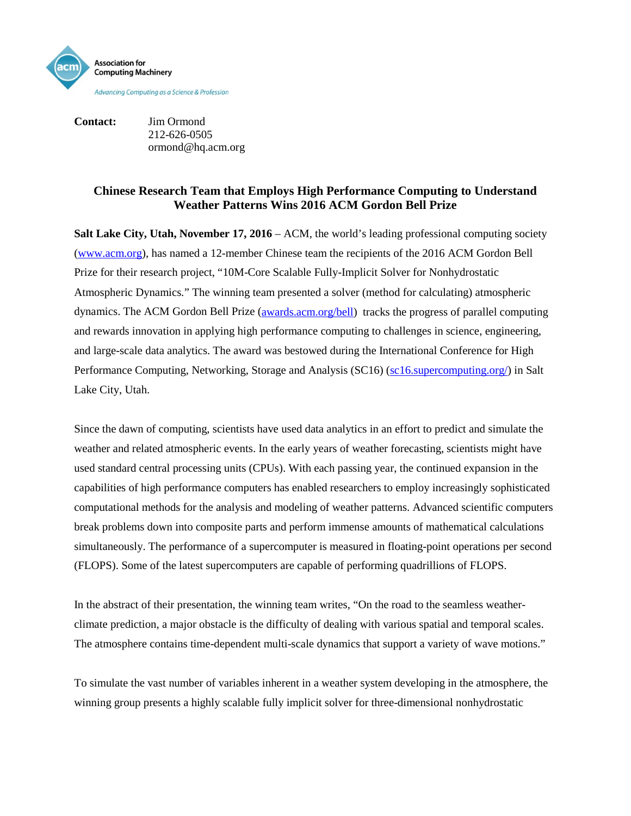

**Contact:** Jim Ormond 212-626-0505 ormond@hq.acm.org

## **Chinese Research Team that Employs High Performance Computing to Understand Weather Patterns Wins 2016 ACM Gordon Bell Prize**

**Salt Lake City, Utah, November 17, 2016** – [ACM,](http://www.acm.org/) the world's leading professional computing society [\(www.acm.org\)](http://www.acm.org/), has named a 12-member Chinese team the recipients of the 2016 ACM Gordon Bell Prize for their research project, "10M-Core Scalable Fully-Implicit Solver for Nonhydrostatic Atmospheric Dynamics*.*" The winning team presented a solver (method for calculating) atmospheric dynamics. The ACM Gordon Bell Prize [\(awards.acm.org/bell\)](http://awards.acm.org/bell/) tracks the progress of parallel computing and rewards innovation in applying high performance computing to challenges in science, engineering, and large-scale data analytics. The award was bestowed during the International Conference for High Performance Computing, Networking, Storage and Analysis (SC16) [\(sc16.supercomputing.org/\)](http://sc16.supercomputing.org/) in Salt Lake City, Utah.

Since the dawn of computing, scientists have used data analytics in an effort to predict and simulate the weather and related atmospheric events. In the early years of weather forecasting, scientists might have used standard central processing units (CPUs). With each passing year, the continued expansion in the capabilities of high performance computers has enabled researchers to employ increasingly sophisticated computational methods for the analysis and modeling of weather patterns. Advanced scientific computers break problems down into composite parts and perform immense amounts of mathematical calculations simultaneously. The performance of a supercomputer is measured in floating-point operations per second (FLOPS). Some of the latest supercomputers are capable of performing quadrillions of FLOPS.

In the abstract of their presentation, the winning team writes, "On the road to the seamless weatherclimate prediction, a major obstacle is the difficulty of dealing with various spatial and temporal scales. The atmosphere contains time-dependent multi-scale dynamics that support a variety of wave motions."

To simulate the vast number of variables inherent in a weather system developing in the atmosphere, the winning group presents a highly scalable fully implicit solver for three-dimensional nonhydrostatic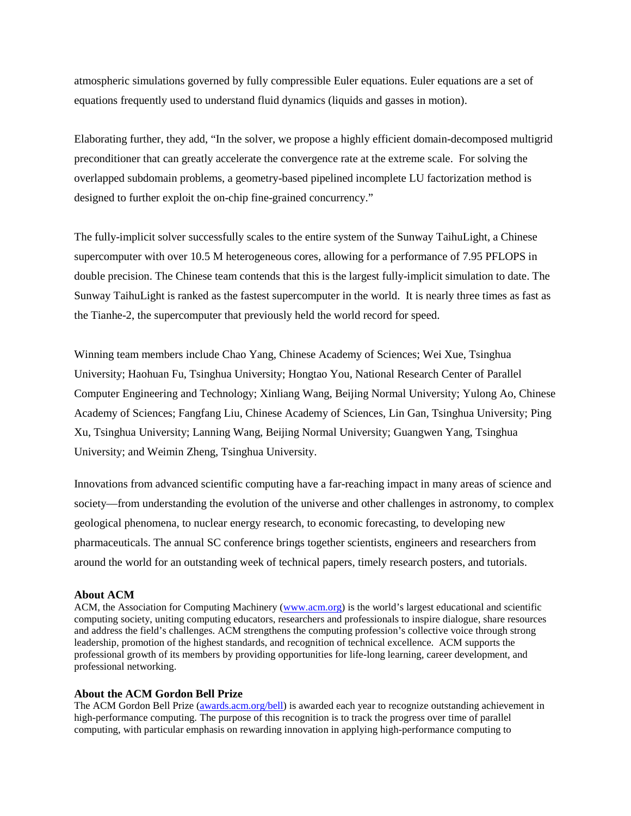atmospheric simulations governed by fully compressible Euler equations. Euler equations are a set of equations frequently used to understand fluid dynamics (liquids and gasses in motion).

Elaborating further, they add, "In the solver, we propose a highly efficient domain-decomposed multigrid preconditioner that can greatly accelerate the convergence rate at the extreme scale. For solving the overlapped subdomain problems, a geometry-based pipelined incomplete LU factorization method is designed to further exploit the on-chip fine-grained concurrency."

The fully-implicit solver successfully scales to the entire system of the Sunway TaihuLight, a Chinese supercomputer with over 10.5 M heterogeneous cores, allowing for a performance of 7.95 PFLOPS in double precision. The Chinese team contends that this is the largest fully-implicit simulation to date. The Sunway TaihuLight is ranked as the fastest supercomputer in the world. It is nearly three times as fast as the Tianhe-2, the supercomputer that previously held the world record for speed.

Winning team members include Chao Yang, Chinese Academy of Sciences; Wei Xue, Tsinghua University; Haohuan Fu, Tsinghua University; Hongtao You, National Research Center of Parallel Computer Engineering and Technology; Xinliang Wang, Beijing Normal University; Yulong Ao, Chinese Academy of Sciences; Fangfang Liu, Chinese Academy of Sciences, Lin Gan, Tsinghua University; Ping Xu, Tsinghua University; Lanning Wang, Beijing Normal University; Guangwen Yang, Tsinghua University; and Weimin Zheng, Tsinghua University.

Innovations from advanced scientific computing have a far-reaching impact in many areas of science and society—from understanding the evolution of the universe and other challenges in astronomy, to complex geological phenomena, to nuclear energy research, to economic forecasting, to developing new pharmaceuticals. The annual SC conference brings together scientists, engineers and researchers from around the world for an outstanding week of technical papers, timely research posters, and tutorials.

## **About ACM**

ACM, the Association for Computing Machinery [\(www.acm.org\)](http://www.acm.org/) is the world's largest educational and scientific computing society, uniting computing educators, researchers and professionals to inspire dialogue, share resources and address the field's challenges. ACM strengthens the computing profession's collective voice through strong leadership, promotion of the highest standards, and recognition of technical excellence. ACM supports the professional growth of its members by providing opportunities for life-long learning, career development, and professional networking.

## **About the ACM Gordon Bell Prize**

The ACM Gordon Bell Prize [\(awards.acm.org/bell\)](http://awards.acm.org/bell/) is awarded each year to recognize outstanding achievement in high-performance computing. The purpose of this recognition is to track the progress over time of parallel computing, with particular emphasis on rewarding innovation in applying high-performance computing to